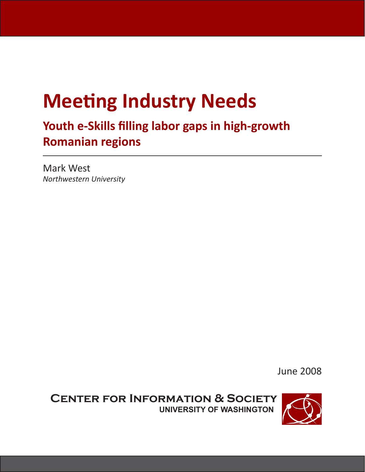# **Meeting Industry Needs**

**Youth e-Skills filling labor gaps in high-growth Romanian regions**

Mark West *Northwestern University*

June 2008

**Center for Information & Society University of Washington**

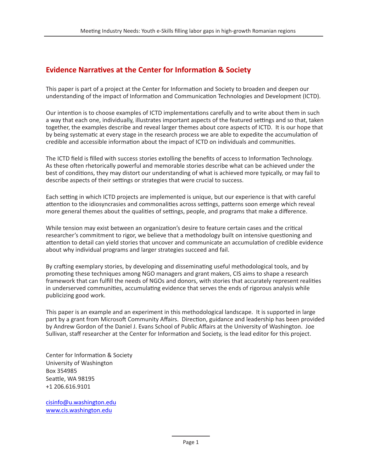#### **Evidence Narratives at the Center for Information & Society**

This paper is part of a project at the Center for Information and Society to broaden and deepen our understanding of the impact of Information and Communication Technologies and Development (ICTD).

Our intention is to choose examples of ICTD implementations carefully and to write about them in such a way that each one, individually, illustrates important aspects of the featured settings and so that, taken together, the examples describe and reveal larger themes about core aspects of ICTD. It is our hope that by being systematic at every stage in the research process we are able to expedite the accumulation of credible and accessible information about the impact of ICTD on individuals and communities.

The ICTD field is filled with success stories extolling the benefits of access to Information Technology. As these often rhetorically powerful and memorable stories describe what can be achieved under the best of conditions, they may distort our understanding of what is achieved more typically, or may fail to describe aspects of their settings or strategies that were crucial to success.

Each setting in which ICTD projects are implemented is unique, but our experience is that with careful attention to the idiosyncrasies and commonalities across settings, patterns soon emerge which reveal more general themes about the qualities of settings, people, and programs that make a difference.

While tension may exist between an organization's desire to feature certain cases and the critical researcher's commitment to rigor, we believe that a methodology built on intensive questioning and attention to detail can yield stories that uncover and communicate an accumulation of credible evidence about why individual programs and larger strategies succeed and fail.

By crafting exemplary stories, by developing and disseminating useful methodological tools, and by promoting these techniques among NGO managers and grant makers, CIS aims to shape a research framework that can fulfill the needs of NGOs and donors, with stories that accurately represent realities in underserved communities, accumulating evidence that serves the ends of rigorous analysis while publicizing good work.

This paper is an example and an experiment in this methodological landscape. It is supported in large part by a grant from Microsoft Community Affairs. Direction, guidance and leadership has been provided by Andrew Gordon of the Daniel J. Evans School of Public Affairs at the University of Washington. Joe Sullivan, staff researcher at the Center for Information and Society, is the lead editor for this project.

Center for Information & Society University of Washington Box 354985 Seattle, WA 98195 +1 206.616.9101

cisinfo@u.washington.edu www.cis.washington.edu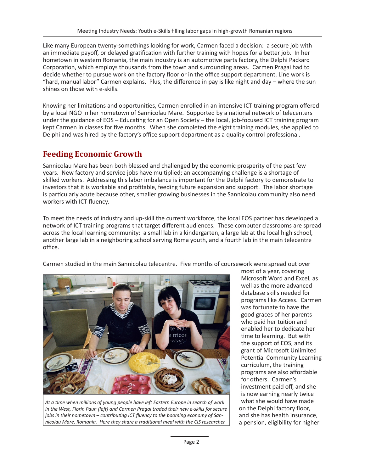Like many European twenty-somethings looking for work, Carmen faced a decision: a secure job with an immediate payoff, or delayed gratification with further training with hopes for a better job. In her hometown in western Romania, the main industry is an automotive parts factory, the Delphi Packard Corporation, which employs thousands from the town and surrounding areas. Carmen Pragai had to decide whether to pursue work on the factory floor or in the office support department. Line work is "hard, manual labor" Carmen explains. Plus, the difference in pay is like night and day – where the sun shines on those with e-skills.

Knowing her limitations and opportunities, Carmen enrolled in an intensive ICT training program offered by a local NGO in her hometown of Sannicolau Mare. Supported by a national network of telecenters under the guidance of EOS – Educating for an Open Society – the local, job-focused ICT training program kept Carmen in classes for five months. When she completed the eight training modules, she applied to Delphi and was hired by the factory's office support department as a quality control professional.

### **Feeding Economic Growth**

Sannicolau Mare has been both blessed and challenged by the economic prosperity of the past few years. New factory and service jobs have multiplied; an accompanying challenge is a shortage of skilled workers. Addressing this labor imbalance is important for the Delphi factory to demonstrate to investors that it is workable and profitable, feeding future expansion and support. The labor shortage is particularly acute because other, smaller growing businesses in the Sannicolau community also need workers with ICT fluency.

To meet the needs of industry and up-skill the current workforce, the local EOS partner has developed a network of ICT training programs that target different audiences. These computer classrooms are spread across the local learning community: a small lab in a kindergarten, a large lab at the local high school, another large lab in a neighboring school serving Roma youth, and a fourth lab in the main telecentre office.

Carmen studied in the main Sannicolau telecentre. Five months of coursework were spread out over



*At a time when millions of young people have left Eastern Europe in search of work in the West, Florin Paun (left) and Carmen Pragai traded their new e-skills for secure jobs in their hometown – contributing ICT fluency to the booming economy of Sannicolau Mare, Romania. Here they share a traditional meal with the CIS researcher.*

most of a year, covering Microsoft Word and Excel, as well as the more advanced database skills needed for programs like Access. Carmen was fortunate to have the good graces of her parents who paid her tuition and enabled her to dedicate her time to learning. But with the support of EOS, and its grant of Microsoft Unlimited Potential Community Learning curriculum, the training programs are also affordable for others. Carmen's investment paid off, and she is now earning nearly twice what she would have made on the Delphi factory floor, and she has health insurance, a pension, eligibility for higher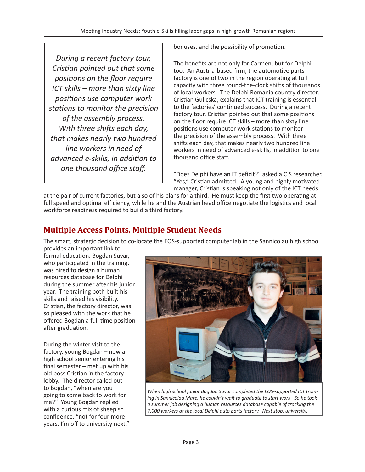*During a recent factory tour, Cristian pointed out that some positions on the floor require ICT skills – more than sixty line positions use computer work stations to monitor the precision of the assembly process. With three shifts each day, that makes nearly two hundred line workers in need of advanced e-skills, in addition to one thousand office staff.*

bonuses, and the possibility of promotion.

The benefits are not only for Carmen, but for Delphi too. An Austria-based firm, the automotive parts factory is one of two in the region operating at full capacity with three round-the-clock shifts of thousands of local workers. The Delphi Romania country director, Cristian Gulicska, explains that ICT training is essential to the factories' continued success. During a recent factory tour, Cristian pointed out that some positions on the floor require ICT skills – more than sixty line positions use computer work stations to monitor the precision of the assembly process. With three shifts each day, that makes nearly two hundred line workers in need of advanced e-skills, in addition to one thousand office staff.

"Does Delphi have an IT deficit?" asked a CIS researcher. "Yes," Cristian admitted. A young and highly motivated manager, Cristian is speaking not only of the ICT needs

at the pair of current factories, but also of his plans for a third. He must keep the first two operating at full speed and optimal efficiency, while he and the Austrian head office negotiate the logistics and local workforce readiness required to build a third factory.

## **Multiple Access Points, Multiple Student Needs**

The smart, strategic decision to co-locate the EOS-supported computer lab in the Sannicolau high school

provides an important link to formal education. Bogdan Suvar, who participated in the training, was hired to design a human resources database for Delphi during the summer after his junior year. The training both built his skills and raised his visibility. Cristian, the factory director, was so pleased with the work that he offered Bogdan a full time position after graduation.

During the winter visit to the factory, young Bogdan – now a high school senior entering his final semester – met up with his old boss Cristian in the factory lobby. The director called out to Bogdan, "when are you going to some back to work for me?" Young Bogdan replied with a curious mix of sheepish confidence, "not for four more years, I'm off to university next."



*When high school junior Bogdan Suvar completed the EOS-supported ICT training in Sannicolau Mare, he couldn't wait to graduate to start work. So he took a summer job designing a human resources database capable of tracking the 7,000 workers at the local Delphi auto parts factory. Next stop, university.*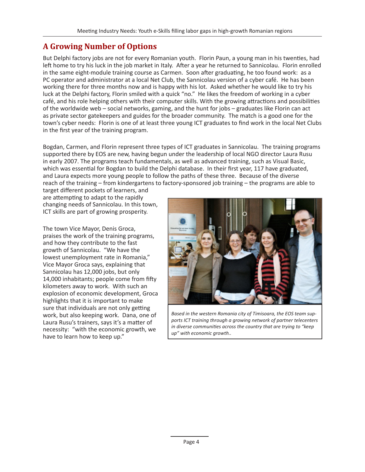# **A Growing Number of Options**

But Delphi factory jobs are not for every Romanian youth. Florin Paun, a young man in his twenties, had left home to try his luck in the job market in Italy. After a year he returned to Sannicolau. Florin enrolled in the same eight-module training course as Carmen. Soon after graduating, he too found work: as a PC operator and administrator at a local Net Club, the Sannicolau version of a cyber café. He has been working there for three months now and is happy with his lot. Asked whether he would like to try his luck at the Delphi factory, Florin smiled with a quick "no." He likes the freedom of working in a cyber café, and his role helping others with their computer skills. With the growing attractions and possibilities of the worldwide web – social networks, gaming, and the hunt for jobs – graduates like Florin can act as private sector gatekeepers and guides for the broader community. The match is a good one for the town's cyber needs: Florin is one of at least three young ICT graduates to find work in the local Net Clubs in the first year of the training program.

Bogdan, Carmen, and Florin represent three types of ICT graduates in Sannicolau. The training programs supported there by EOS are new, having begun under the leadership of local NGO director Laura Rusu in early 2007. The programs teach fundamentals, as well as advanced training, such as Visual Basic, which was essential for Bogdan to build the Delphi database. In their first year, 117 have graduated, and Laura expects more young people to follow the paths of these three. Because of the diverse reach of the training – from kindergartens to factory-sponsored job training – the programs are able to

target different pockets of learners, and are attempting to adapt to the rapidly changing needs of Sannicolau. In this town, ICT skills are part of growing prosperity.

The town Vice Mayor, Denis Groca, praises the work of the training programs, and how they contribute to the fast growth of Sannicolau. "We have the lowest unemployment rate in Romania," Vice Mayor Groca says, explaining that Sannicolau has 12,000 jobs, but only 14,000 inhabitants; people come from fifty kilometers away to work. With such an explosion of economic development, Groca highlights that it is important to make sure that individuals are not only getting work, but also keeping work. Dana, one of Laura Rusu's trainers, says it's a matter of necessity: "with the economic growth, we have to learn how to keep up."



*Based in the western Romania city of Timisoara, the EOS team supports ICT training through a growing network of partner telecenters in diverse communities across the country that are trying to "keep up" with economic growth..*